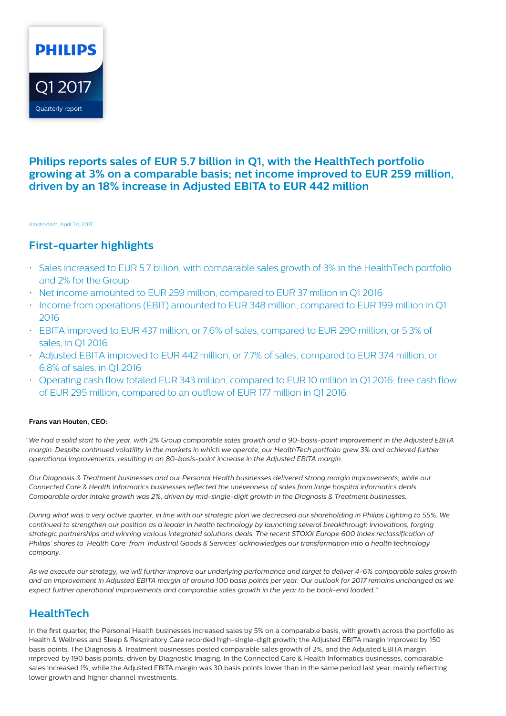

### **Philips reports sales of EUR 5.7 billion in Q1, with the HealthTech portfolio growing at 3% on a comparable basis; net income improved to EUR 259 million, driven by an 18% increase in Adjusted EBITA to EUR 442 million**

Amsterdam, April 24, 2017

### **First-quarter highlights**

- Sales increased to EUR 5.7 billion, with comparable sales growth of 3% in the HealthTech portfolio and 2% for the Group
- Net income amounted to EUR 259 million, compared to EUR 37 million in Q1 2016
- Income from operations (EBIT) amounted to EUR 348 million, compared to EUR 199 million in Q1 2016
- EBITA improved to EUR 437 million, or 7.6% of sales, compared to EUR 290 million, or 5.3% of sales, in Q1 2016
- Adjusted EBITA improved to EUR 442 million, or 7.7% of sales, compared to EUR 374 million, or 6.8% of sales, in Q1 2016
- Operating cash flow totaled EUR 343 million, compared to EUR 10 million in Q1 2016; free cash flow of EUR 295 million, compared to an outflow of EUR 177 million in Q1 2016

### **Frans van Houten, CEO:**

"*We had a solid start to the year, with 2% Group comparable sales growth and a 90-basis-point improvement in the Adjusted EBITA margin. Despite continued volatility in the markets in which we operate, our HealthTech portfolio grew 3% and achieved further operational improvements, resulting in an 80-basis-point increase in the Adjusted EBITA margin.*

*Our Diagnosis & Treatment businesses and our Personal Health businesses delivered strong margin improvements, while our Connected Care & Health Informatics businesses reflected the unevenness of sales from large hospital informatics deals. Comparable order intake growth was 2%, driven by mid-single-digit growth in the Diagnosis & Treatment businesses.*

*During what was a very active quarter, in line with our strategic plan we decreased our shareholding in Philips Lighting to 55%. We continued to strengthen our position as a leader in health technology by launching several breakthrough innovations, forging strategic partnerships and winning various integrated solutions deals. The recent STOXX Europe 600 Index reclassification of Philips' shares to 'Health Care' from 'Industrial Goods & Services' acknowledges our transformation into a health technology company.*

*As we execute our strategy, we will further improve our underlying performance and target to deliver 4-6% comparable sales growth and an improvement in Adjusted EBITA margin of around 100 basis points per year. Our outlook for 2017 remains unchanged as we expect further operational improvements and comparable sales growth in the year to be back-end loaded."*

## **HealthTech**

In the first quarter, the Personal Health businesses increased sales by 5% on a comparable basis, with growth across the portfolio as Health & Wellness and Sleep & Respiratory Care recorded high-single-digit growth; the Adjusted EBITA margin improved by 150 basis points. The Diagnosis & Treatment businesses posted comparable sales growth of 2%, and the Adjusted EBITA margin improved by 190 basis points, driven by Diagnostic Imaging. In the Connected Care & Health Informatics businesses, comparable sales increased 1%, while the Adjusted EBITA margin was 30 basis points lower than in the same period last year, mainly reflecting lower growth and higher channel investments.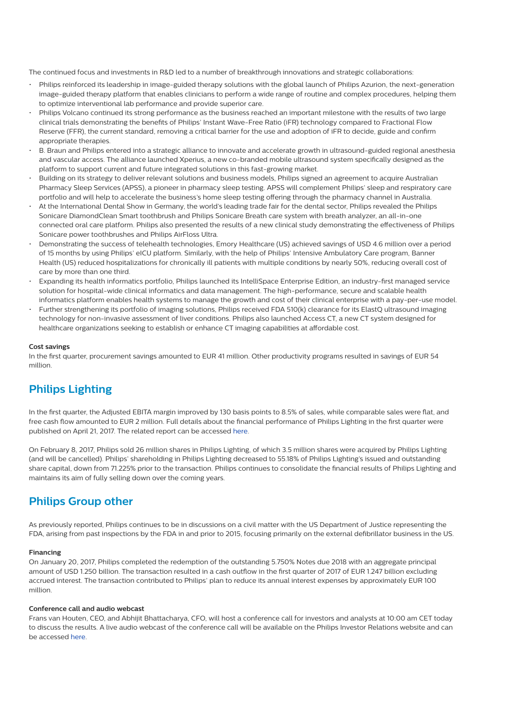The continued focus and investments in R&D led to a number of breakthrough innovations and strategic collaborations:

- Philips reinforced its leadership in image-guided therapy solutions with the global launch of Philips Azurion, the next-generation image-guided therapy platform that enables clinicians to perform a wide range of routine and complex procedures, helping them to optimize interventional lab performance and provide superior care.
- Philips Volcano continued its strong performance as the business reached an important milestone with the results of two large clinical trials demonstrating the benefits of Philips' Instant Wave-Free Ratio (iFR) technology compared to Fractional Flow Reserve (FFR), the current standard, removing a critical barrier for the use and adoption of iFR to decide, guide and confirm appropriate therapies.
- B. Braun and Philips entered into a strategic alliance to innovate and accelerate growth in ultrasound-guided regional anesthesia and vascular access. The alliance launched Xperius, a new co-branded mobile ultrasound system specifically designed as the platform to support current and future integrated solutions in this fast-growing market.
- Building on its strategy to deliver relevant solutions and business models, Philips signed an agreement to acquire Australian Pharmacy Sleep Services (APSS), a pioneer in pharmacy sleep testing. APSS will complement Philips' sleep and respiratory care portfolio and will help to accelerate the business's home sleep testing offering through the pharmacy channel in Australia.
- At the International Dental Show in Germany, the world's leading trade fair for the dental sector, Philips revealed the Philips Sonicare DiamondClean Smart toothbrush and Philips Sonicare Breath care system with breath analyzer, an all-in-one connected oral care platform. Philips also presented the results of a new clinical study demonstrating the effectiveness of Philips Sonicare power toothbrushes and Philips AirFloss Ultra.
- Demonstrating the success of telehealth technologies, Emory Healthcare (US) achieved savings of USD 4.6 million over a period of 15 months by using Philips' eICU platform. Similarly, with the help of Philips' Intensive Ambulatory Care program, Banner Health (US) reduced hospitalizations for chronically ill patients with multiple conditions by nearly 50%, reducing overall cost of care by more than one third.
- Expanding its health informatics portfolio, Philips launched its IntelliSpace Enterprise Edition, an industry-first managed service solution for hospital-wide clinical informatics and data management. The high-performance, secure and scalable health informatics platform enables health systems to manage the growth and cost of their clinical enterprise with a pay-per-use model.
- Further strengthening its portfolio of imaging solutions, Philips received FDA 510(k) clearance for its ElastQ ultrasound imaging technology for non-invasive assessment of liver conditions. Philips also launched Access CT, a new CT system designed for healthcare organizations seeking to establish or enhance CT imaging capabilities at affordable cost.

#### **Cost savings**

In the first quarter, procurement savings amounted to EUR 41 million. Other productivity programs resulted in savings of EUR 54 million.

### **Philips Lighting**

In the first quarter, the Adjusted EBITA margin improved by 130 basis points to 8.5% of sales, while comparable sales were flat, and free cash flow amounted to EUR 2 million. Full details about the financial performance of Philips Lighting in the first quarter were published on April 21, 2017. The related report can be accessed [here](http://www.lighting.philips.com/static/quarterlyresults/2017/q1_2017/philips-lighting-first-quarter-results-2017-report.pdf).

On February 8, 2017, Philips sold 26 million shares in Philips Lighting, of which 3.5 million shares were acquired by Philips Lighting (and will be cancelled). Philips' shareholding in Philips Lighting decreased to 55.18% of Philips Lighting's issued and outstanding share capital, down from 71.225% prior to the transaction. Philips continues to consolidate the financial results of Philips Lighting and maintains its aim of fully selling down over the coming years.

### **Philips Group other**

As previously reported, Philips continues to be in discussions on a civil matter with the US Department of Justice representing the FDA, arising from past inspections by the FDA in and prior to 2015, focusing primarily on the external defibrillator business in the US.

### **Financing**

On January 20, 2017, Philips completed the redemption of the outstanding 5.750% Notes due 2018 with an aggregate principal amount of USD 1.250 billion. The transaction resulted in a cash outflow in the first quarter of 2017 of EUR 1.247 billion excluding accrued interest. The transaction contributed to Philips' plan to reduce its annual interest expenses by approximately EUR 100 million.

### **Conference call and audio webcast**

Frans van Houten, CEO, and Abhijit Bhattacharya, CFO, will host a conference call for investors and analysts at 10:00 am CET today to discuss the results. A live audio webcast of the conference call will be available on the Philips Investor Relations website and can be accessed [here](http://edge.media-server.com/m/p/hxqekttd).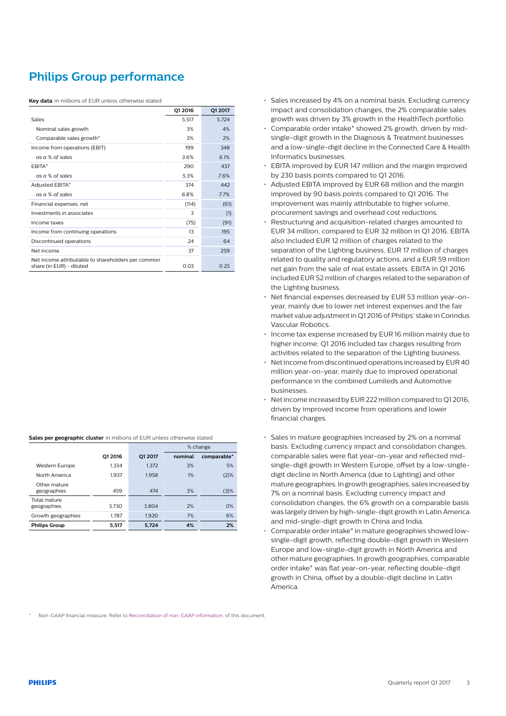# **Philips Group performance**

**Key data** in millions of EUR unless otherwise stated

|                                                                                | 01 2016 | Q1 2017 |
|--------------------------------------------------------------------------------|---------|---------|
| Sales                                                                          | 5,517   | 5,724   |
| Nominal sales growth                                                           | 3%      | 4%      |
| Comparable sales growth*                                                       | 3%      | 2%      |
| Income from operations (EBIT)                                                  | 199     | 348     |
| as a % of sales                                                                | 3.6%    | 6.1%    |
| <b>FBITA*</b>                                                                  | 290     | 437     |
| as a % of sales                                                                | 5.3%    | 7.6%    |
| Adjusted EBITA*                                                                | 374     | 442     |
| as a % of sales                                                                | 6.8%    | 7.7%    |
| Financial expenses, net                                                        | (114)   | (61)    |
| Investments in associates                                                      | 3       | (1)     |
| Income taxes                                                                   | (75)    | (91)    |
| Income from continuing operations                                              | 13      | 195     |
| Discontinued operations                                                        | 24      | 64      |
| Net income                                                                     | 37      | 259     |
| Net income attributable to shareholders per common<br>share (in EUR) - diluted | 0.03    | 0.25    |

|  | Sales per geographic cluster in millions of EUR unless otherwise stated |  |
|--|-------------------------------------------------------------------------|--|
|--|-------------------------------------------------------------------------|--|

|                             |         |         |         | % change    |
|-----------------------------|---------|---------|---------|-------------|
|                             | 01 2016 | O1 2017 | nominal | comparable* |
| Western Europe              | 1.334   | 1,372   | 3%      | 5%          |
| North America               | 1.937   | 1.958   | 1%      | (2)%        |
| Other mature<br>geographies | 459     | 474     | 3%      | (3)%        |
| Total mature<br>geographies | 3.730   | 3.804   | 2%      | O%          |
| Growth geographies          | 1.787   | 1.920   | 7%      | 6%          |
| <b>Philips Group</b>        | 5.517   | 5,724   | 4%      | 2%          |

- Sales increased by 4% on a nominal basis. Excluding currency impact and consolidation changes, the 2% comparable sales growth was driven by 3% growth in the HealthTech portfolio.
- Comparable order intake\* showed 2% growth, driven by midsingle-digit growth in the Diagnosis & Treatment businesses and a low-single-digit decline in the Connected Care & Health Informatics businesses.
- EBITA improved by EUR 147 million and the margin improved by 230 basis points compared to Q1 2016.
- Adjusted EBITA improved by EUR 68 million and the margin improved by 90 basis points compared to Q1 2016. The improvement was mainly attributable to higher volume, procurement savings and overhead cost reductions.
- Restructuring and acquisition-related charges amounted to EUR 34 million, compared to EUR 32 million in Q1 2016. EBITA also included EUR 12 million of charges related to the separation of the Lighting business, EUR 17 million of charges related to quality and regulatory actions, and a EUR 59 million net gain from the sale of real estate assets. EBITA in Q1 2016 included EUR 52 million of charges related to the separation of the Lighting business.
- Net financial expenses decreased by EUR 53 million year-onyear, mainly due to lower net interest expenses and the fair market value adjustment in Q1 2016 of Philips' stake in Corindus Vascular Robotics.
- Income tax expense increased by EUR 16 million mainly due to higher income; Q1 2016 included tax charges resulting from activities related to the separation of the Lighting business.
- Net income from discontinued operations increased by EUR 40 million year-on-year, mainly due to improved operational performance in the combined Lumileds and Automotive businesses.
- Net income increased by EUR 222 million compared to Q1 2016, driven by improved income from operations and lower financial charges.
- Sales in mature geographies increased by 2% on a nominal basis. Excluding currency impact and consolidation changes, comparable sales were flat year-on-year and reflected midsingle-digit growth in Western Europe, offset by a low-singledigit decline in North America (due to Lighting) and other mature geographies. In growth geographies, sales increased by 7% on a nominal basis. Excluding currency impact and consolidation changes, the 6% growth on a comparable basis was largely driven by high-single-digit growth in Latin America and mid-single-digit growth in China and India.
- Comparable order intake\* in mature geographies showed lowsingle-digit growth, reflecting double-digit growth in Western Europe and low-single-digit growth in North America and other mature geographies. In growth geographies, comparable order intake\* was flat year-on-year, reflecting double-digit growth in China, offset by a double-digit decline in Latin America.

Non-GAAP financial measure. Refer to [Reconciliation of non-GAAP information](#page-12-0), of this document.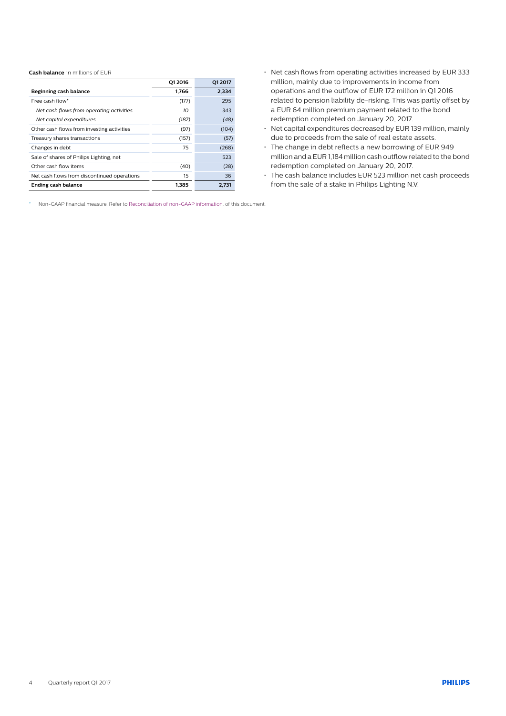#### **Cash balance** in millions of EUR

|                                             | 01 2016 | Q1 2017 |
|---------------------------------------------|---------|---------|
| Beginning cash balance                      | 1.766   | 2,334   |
| Free cash flow*                             | (177)   | 295     |
| Net cash flows from operating activities    | 10      | 343     |
| Net capital expenditures                    | (187)   | (48)    |
| Other cash flows from investing activities  | (97)    | (104)   |
| Treasury shares transactions                | (157)   | (57)    |
| Changes in debt                             | 75      | (268)   |
| Sale of shares of Philips Lighting, net     |         | 523     |
| Other cash flow items                       | (40)    | (28)    |
| Net cash flows from discontinued operations | 15      | 36      |
| Ending cash balance                         | 1.385   | 2.731   |

- Net cash flows from operating activities increased by EUR 333 million, mainly due to improvements in income from operations and the outflow of EUR 172 million in Q1 2016 related to pension liability de-risking. This was partly offset by a EUR 64 million premium payment related to the bond redemption completed on January 20, 2017.
- Net capital expenditures decreased by EUR 139 million, mainly due to proceeds from the sale of real estate assets.
- The change in debt reflects a new borrowing of EUR 949 million and a EUR 1,184 million cash outflow related to the bond redemption completed on January 20, 2017.
- The cash balance includes EUR 523 million net cash proceeds from the sale of a stake in Philips Lighting N.V.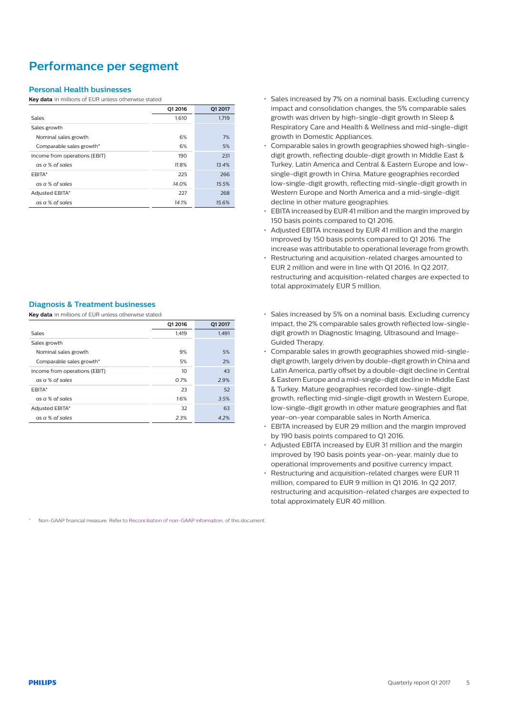## **Performance per segment**

### **Personal Health businesses**

**Key data** in millions of EUR unless otherwise stated

|                               | Q1 2016 | Q1 2017 |
|-------------------------------|---------|---------|
| Sales                         | 1,610   | 1,719   |
| Sales growth                  |         |         |
| Nominal sales growth          | 6%      | 7%      |
| Comparable sales growth*      | 6%      | 5%      |
| Income from operations (EBIT) | 190     | 231     |
| as a % of sales               | 11.8%   | 13.4%   |
| FBITA*                        | 225     | 266     |
| as a % of sales               | 14.0%   | 15.5%   |
| Adjusted EBITA*               | 227     | 268     |
| as a % of sales               | 14.1%   | 15.6%   |

### **Diagnosis & Treatment businesses**

**Key data** in millions of EUR unless otherwise stated

|                               | Q1 2016 | Q1 2017 |
|-------------------------------|---------|---------|
| Sales                         | 1.419   | 1,491   |
| Sales growth                  |         |         |
| Nominal sales growth          | 9%      | 5%      |
| Comparable sales growth*      | 5%      | 2%      |
| Income from operations (EBIT) | 10      | 43      |
| as a % of sales               | 0.7%    | 2.9%    |
| <b>FBITA*</b>                 | 23      | 52      |
| as a % of sales               | 1.6%    | 3.5%    |
| Adjusted EBITA*               | 32      | 63      |
| as a % of sales               | 2.3%    | 4.2%    |

• Sales increased by 7% on a nominal basis. Excluding currency impact and consolidation changes, the 5% comparable sales growth was driven by high-single-digit growth in Sleep & Respiratory Care and Health & Wellness and mid-single-digit growth in Domestic Appliances.

- Comparable sales in growth geographies showed high-singledigit growth, reflecting double-digit growth in Middle East & Turkey, Latin America and Central & Eastern Europe and lowsingle-digit growth in China. Mature geographies recorded low-single-digit growth, reflecting mid-single-digit growth in Western Europe and North America and a mid-single-digit decline in other mature geographies.
- EBITA increased by EUR 41 million and the margin improved by 150 basis points compared to Q1 2016.
- Adjusted EBITA increased by EUR 41 million and the margin improved by 150 basis points compared to Q1 2016. The increase was attributable to operational leverage from growth.
- Restructuring and acquisition-related charges amounted to EUR 2 million and were in line with Q1 2016. In Q2 2017, restructuring and acquisition-related charges are expected to total approximately EUR 5 million.
- Sales increased by 5% on a nominal basis. Excluding currency impact, the 2% comparable sales growth reflected low-singledigit growth in Diagnostic Imaging, Ultrasound and Image-Guided Therapy.
- Comparable sales in growth geographies showed mid-singledigit growth, largely driven by double-digit growth in China and Latin America, partly offset by a double-digit decline in Central & Eastern Europe and a mid-single-digit decline in Middle East & Turkey. Mature geographies recorded low-single-digit growth, reflecting mid-single-digit growth in Western Europe, low-single-digit growth in other mature geographies and flat year-on-year comparable sales in North America.
- EBITA increased by EUR 29 million and the margin improved by 190 basis points compared to Q1 2016.
- Adjusted EBITA increased by EUR 31 million and the margin improved by 190 basis points year-on-year, mainly due to operational improvements and positive currency impact.
- Restructuring and acquisition-related charges were EUR 11 million, compared to EUR 9 million in Q1 2016. In Q2 2017, restructuring and acquisition-related charges are expected to total approximately EUR 40 million.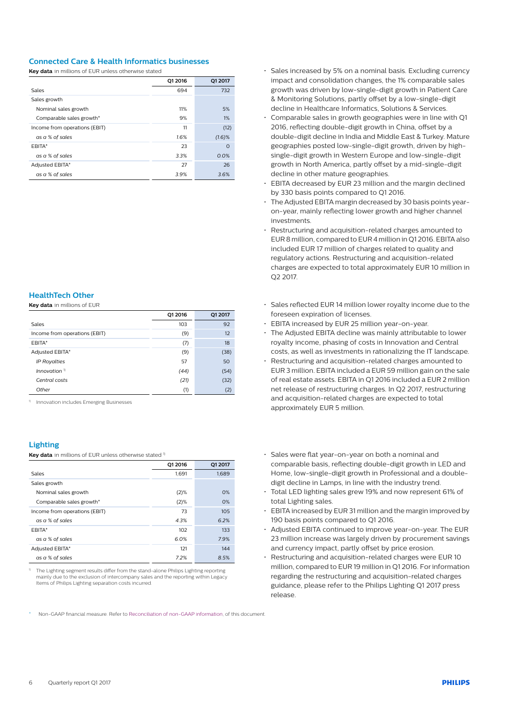### **Connected Care & Health Informatics businesses**

**Key data** in millions of EUR unless otherwise stated

|                               | 01 2016 | Q1 2017   |
|-------------------------------|---------|-----------|
| Sales                         | 694     | 732       |
| Sales growth                  |         |           |
| Nominal sales growth          | 11%     | 5%        |
| Comparable sales growth*      | 9%      | 1%        |
| Income from operations (EBIT) | 11      | (12)      |
| as a % of sales               | 1.6%    | $(1.6)$ % |
| <b>FBITA*</b>                 | 23      | $\Omega$  |
| as a % of sales               | 3.3%    | 0.0%      |
| Adjusted EBITA*               | 27      | 26        |
| as a % of sales               | 3.9%    | 3.6%      |

### **HealthTech Other**

**Key data** in millions of EUR

|                               | Q1 2016 | Q1 2017 |
|-------------------------------|---------|---------|
| Sales                         | 103     | 92      |
| Income from operations (EBIT) | (9)     | 12      |
| <b>FBITA*</b>                 | (7)     | 18      |
| Adjusted EBITA*               | (9)     | (38)    |
| <b>IP Royalties</b>           | 57      | 50      |
| Innovation $\mathbb{I}$       | (44)    | (54)    |
| Central costs                 | (21)    | (32)    |
| Other                         | (1)     | (2)     |

<sup>1)</sup> Innovation includes Emerging Businesses

### **Lighting**

Key data in millions of EUR unless otherwise stated<sup>1)</sup>

|                               | Q1 2016 | Q1 2017 |
|-------------------------------|---------|---------|
| Sales                         | 1.691   | 1,689   |
| Sales growth                  |         |         |
| Nominal sales growth          | (2)%    | O%      |
| Comparable sales growth*      | (2)%    | O%      |
| Income from operations (EBIT) | 73      | 105     |
| as a % of sales               | 4.3%    | 6.2%    |
| <b>FBITA*</b>                 | 102     | 133     |
| as a % of sales               | 6.0%    | 7.9%    |
| Adjusted EBITA*               | 121     | 144     |
| as a % of sales               | 7.2%    | 8.5%    |

1) The Lighting segment results differ from the stand-alone Philips Lighting reporting mainly due to the exclusion of intercompany sales and the reporting within Legacy Items of Philips Lighting separation costs incurred.

- Sales increased by 5% on a nominal basis. Excluding currency impact and consolidation changes, the 1% comparable sales growth was driven by low-single-digit growth in Patient Care & Monitoring Solutions, partly offset by a low-single-digit decline in Healthcare Informatics, Solutions & Services.
- Comparable sales in growth geographies were in line with Q1 2016, reflecting double-digit growth in China, offset by a double-digit decline in India and Middle East & Turkey. Mature geographies posted low-single-digit growth, driven by highsingle-digit growth in Western Europe and low-single-digit growth in North America, partly offset by a mid-single-digit decline in other mature geographies.
- EBITA decreased by EUR 23 million and the margin declined by 330 basis points compared to Q1 2016.
- The Adjusted EBITA margin decreased by 30 basis points yearon-year, mainly reflecting lower growth and higher channel investments.
- Restructuring and acquisition-related charges amounted to EUR 8 million, compared to EUR 4 million in Q1 2016. EBITA also included EUR 17 million of charges related to quality and regulatory actions. Restructuring and acquisition-related charges are expected to total approximately EUR 10 million in Q2 2017.
- Sales reflected EUR 14 million lower royalty income due to the foreseen expiration of licenses.
- EBITA increased by EUR 25 million year-on-year.
- The Adjusted EBITA decline was mainly attributable to lower royalty income, phasing of costs in Innovation and Central costs, as well as investments in rationalizing the IT landscape.
- Restructuring and acquisition-related charges amounted to EUR 3 million. EBITA included a EUR 59 million gain on the sale of real estate assets. EBITA in Q1 2016 included a EUR 2 million net release of restructuring charges. In Q2 2017, restructuring and acquisition-related charges are expected to total approximately EUR 5 million.
- Sales were flat year-on-year on both a nominal and comparable basis, reflecting double-digit growth in LED and Home, low-single-digit growth in Professional and a doubledigit decline in Lamps, in line with the industry trend.
- Total LED lighting sales grew 19% and now represent 61% of total Lighting sales.
- EBITA increased by EUR 31 million and the margin improved by 190 basis points compared to Q1 2016.
- Adjusted EBITA continued to improve year-on-year. The EUR 23 million increase was largely driven by procurement savings and currency impact, partly offset by price erosion.
- Restructuring and acquisition-related charges were EUR 10 million, compared to EUR 19 million in Q1 2016. For information regarding the restructuring and acquisition-related charges guidance, please refer to the Philips Lighting Q1 2017 press release.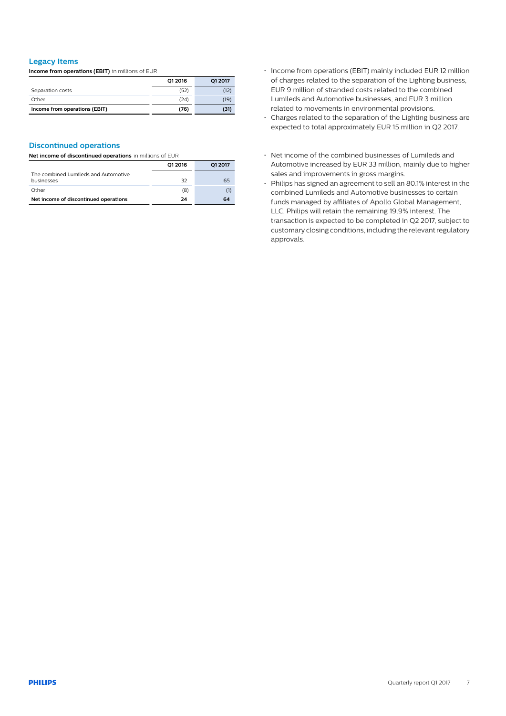### **Legacy Items**

**Income from operations (EBIT)** in millions of EUR

|                               | Q1 2016 | Q1 2017 |
|-------------------------------|---------|---------|
| Separation costs              | (52)    | (12)    |
| Other                         | (24)    | (19)    |
| Income from operations (EBIT) | (76)    | (31)    |

### **Discontinued operations**

**Net income of discontinued operations** in millions of EUR

|                                                    | 01 2016 | O1 2017 |
|----------------------------------------------------|---------|---------|
| The combined Lumileds and Automotive<br>businesses | 32      | 65      |
| Other                                              | (8)     | O       |
| Net income of discontinued operations              | 24      | 64      |

- Income from operations (EBIT) mainly included EUR 12 million of charges related to the separation of the Lighting business, EUR 9 million of stranded costs related to the combined Lumileds and Automotive businesses, and EUR 3 million related to movements in environmental provisions.
- Charges related to the separation of the Lighting business are expected to total approximately EUR 15 million in Q2 2017.
- Net income of the combined businesses of Lumileds and Automotive increased by EUR 33 million, mainly due to higher sales and improvements in gross margins.
- Philips has signed an agreement to sell an 80.1% interest in the combined Lumileds and Automotive businesses to certain funds managed by affiliates of Apollo Global Management, LLC. Philips will retain the remaining 19.9% interest. The transaction is expected to be completed in Q2 2017, subject to customary closing conditions, including the relevant regulatory approvals.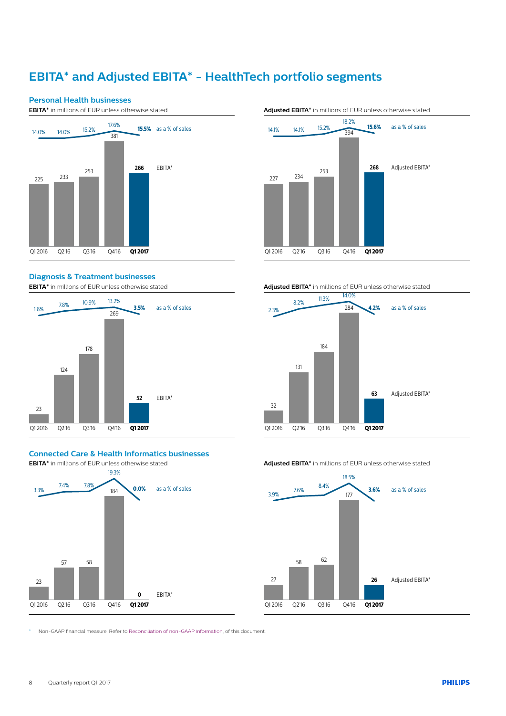# **EBITA\* and Adjusted EBITA\* - HealthTech portfolio segments**



### **Diagnosis & Treatment businesses**

**EBITA\*** in millions of EUR unless otherwise stated





## **Connected Care & Health Informatics businesses**



**Adjusted EBITA\*** in millions of EUR unless otherwise stated

### **Adjusted EBITA\*** in millions of EUR unless otherwise stated



#### **Adjusted EBITA\*** in millions of EUR unless otherwise stated



\* Non-GAAP financial measure. Refer to [Reconciliation of non-GAAP information](#page-12-0), of this document.

8 Quarterly report Q1 2017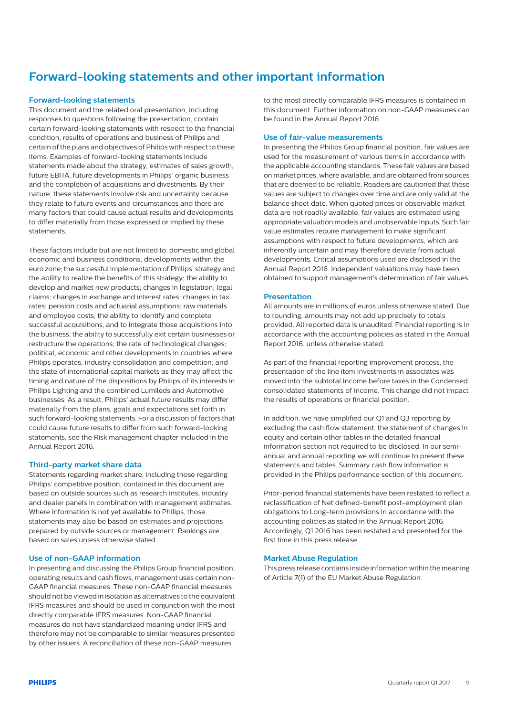# **Forward-looking statements and other important information**

### **Forward-looking statements**

This document and the related oral presentation, including responses to questions following the presentation, contain certain forward-looking statements with respect to the financial condition, results of operations and business of Philips and certain of the plans and objectives of Philips with respect to these items. Examples of forward-looking statements include statements made about the strategy, estimates of sales growth, future EBITA, future developments in Philips' organic business and the completion of acquisitions and divestments. By their nature, these statements involve risk and uncertainty because they relate to future events and circumstances and there are many factors that could cause actual results and developments to differ materially from those expressed or implied by these statements.

These factors include but are not limited to: domestic and global economic and business conditions; developments within the euro zone; the successful implementation of Philips' strategy and the ability to realize the benefits of this strategy; the ability to develop and market new products; changes in legislation; legal claims; changes in exchange and interest rates; changes in tax rates; pension costs and actuarial assumptions; raw materials and employee costs; the ability to identify and complete successful acquisitions, and to integrate those acquisitions into the business; the ability to successfully exit certain businesses or restructure the operations; the rate of technological changes; political, economic and other developments in countries where Philips operates; industry consolidation and competition; and the state of international capital markets as they may affect the timing and nature of the dispositions by Philips of its interests in Philips Lighting and the combined Lumileds and Automotive businesses. As a result, Philips' actual future results may differ materially from the plans, goals and expectations set forth in such forward-looking statements. For a discussion of factors that could cause future results to differ from such forward-looking statements, see the Risk management chapter included in the Annual Report 2016.

### **Third-party market share data**

Statements regarding market share, including those regarding Philips' competitive position, contained in this document are based on outside sources such as research institutes, industry and dealer panels in combination with management estimates. Where information is not yet available to Philips, those statements may also be based on estimates and projections prepared by outside sources or management. Rankings are based on sales unless otherwise stated.

### **Use of non-GAAP information**

In presenting and discussing the Philips Group financial position, operating results and cash flows, management uses certain non-GAAP financial measures. These non-GAAP financial measures should not be viewed in isolation as alternatives to the equivalent IFRS measures and should be used in conjunction with the most directly comparable IFRS measures. Non-GAAP financial measures do not have standardized meaning under IFRS and therefore may not be comparable to similar measures presented by other issuers. A reconciliation of these non-GAAP measures

to the most directly comparable IFRS measures is contained in this document. Further information on non-GAAP measures can be found in the Annual Report 2016.

### **Use of fair-value measurements**

In presenting the Philips Group financial position, fair values are used for the measurement of various items in accordance with the applicable accounting standards. These fair values are based on market prices, where available, and are obtained from sources that are deemed to be reliable. Readers are cautioned that these values are subject to changes over time and are only valid at the balance sheet date. When quoted prices or observable market data are not readily available, fair values are estimated using appropriate valuation models and unobservable inputs. Such fair value estimates require management to make significant assumptions with respect to future developments, which are inherently uncertain and may therefore deviate from actual developments. Critical assumptions used are disclosed in the Annual Report 2016. Independent valuations may have been obtained to support management's determination of fair values.

#### **Presentation**

All amounts are in millions of euros unless otherwise stated. Due to rounding, amounts may not add up precisely to totals provided. All reported data is unaudited. Financial reporting is in accordance with the accounting policies as stated in the Annual Report 2016, unless otherwise stated.

As part of the financial reporting improvement process, the presentation of the line item Investments in associates was moved into the subtotal Income before taxes in the Condensed consolidated statements of income. This change did not impact the results of operations or financial position.

In addition, we have simplified our Q1 and Q3 reporting by excluding the cash flow statement, the statement of changes in equity and certain other tables in the detailed financial information section not required to be disclosed. In our semiannual and annual reporting we will continue to present these statements and tables. Summary cash flow information is provided in the Philips performance section of this document.

Prior-period financial statements have been restated to reflect a reclassification of Net defined-benefit post-employment plan obligations to Long-term provisions in accordance with the accounting policies as stated in the Annual Report 2016. Accordingly, Q1 2016 has been restated and presented for the first time in this press release.

### **Market Abuse Regulation**

This press release contains inside information within the meaning of Article 7(1) of the EU Market Abuse Regulation.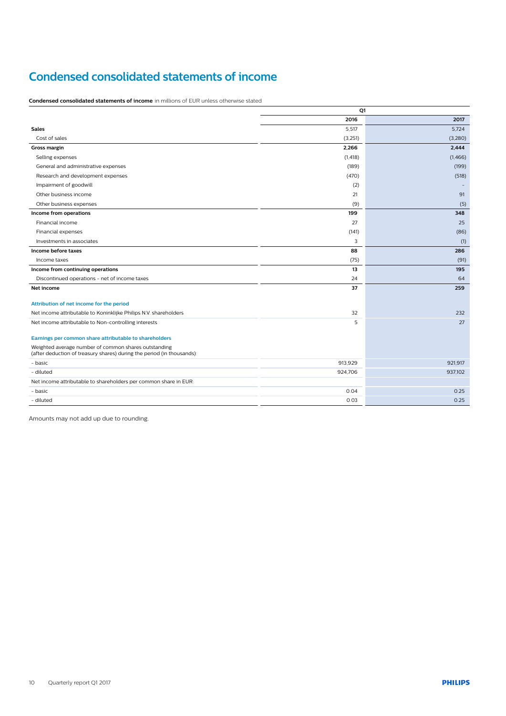## **Condensed consolidated statements of income**

**Condensed consolidated statements of income** in millions of EUR unless otherwise stated

|                                                                                                                                | Q1       |         |
|--------------------------------------------------------------------------------------------------------------------------------|----------|---------|
|                                                                                                                                | 2016     | 2017    |
| <b>Sales</b>                                                                                                                   | 5,517    | 5,724   |
| Cost of sales                                                                                                                  | (3,251)  | (3,280) |
| <b>Gross margin</b>                                                                                                            | 2,266    | 2,444   |
| Selling expenses                                                                                                               | (1, 418) | (1,466) |
| General and administrative expenses                                                                                            | (189)    | (199)   |
| Research and development expenses                                                                                              | (470)    | (518)   |
| Impairment of goodwill                                                                                                         | (2)      |         |
| Other business income                                                                                                          | 21       | 91      |
| Other business expenses                                                                                                        | (9)      | (5)     |
| Income from operations                                                                                                         | 199      | 348     |
| Financial income                                                                                                               | 27       | 25      |
| Financial expenses                                                                                                             | (141)    | (86)    |
| Investments in associates                                                                                                      | 3        | (1)     |
| Income before taxes                                                                                                            | 88       | 286     |
| Income taxes                                                                                                                   | (75)     | (91)    |
| Income from continuing operations                                                                                              | 13       | 195     |
| Discontinued operations - net of income taxes                                                                                  | 24       | 64      |
| Net income                                                                                                                     | 37       | 259     |
| Attribution of net income for the period                                                                                       |          |         |
| Net income attributable to Koninklijke Philips N.V. shareholders                                                               | 32       | 232     |
| Net income attributable to Non-controlling interests                                                                           | 5        | 27      |
| Earnings per common share attributable to shareholders                                                                         |          |         |
| Weighted average number of common shares outstanding<br>(after deduction of treasury shares) during the period (in thousands): |          |         |
| - basic                                                                                                                        | 913,929  | 921.917 |
| - diluted                                                                                                                      | 924,706  | 937,102 |
| Net income attributable to shareholders per common share in EUR:                                                               |          |         |
| - basic                                                                                                                        | 0.04     | 0.25    |
| - diluted                                                                                                                      | 0.03     | 0.25    |

Amounts may not add up due to rounding.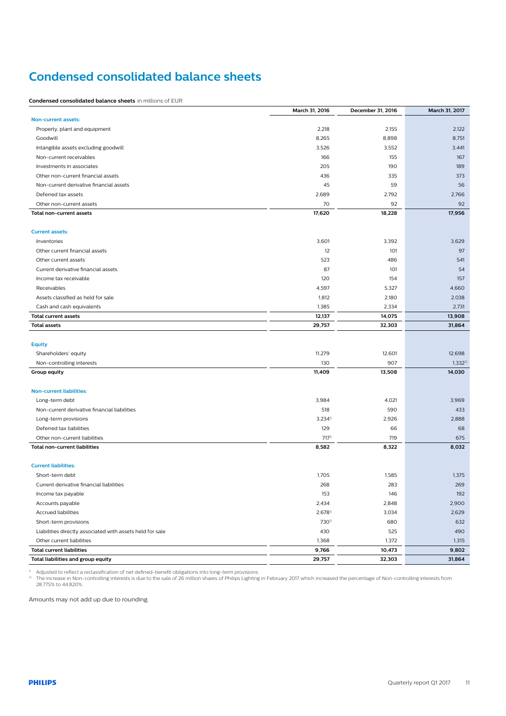# **Condensed consolidated balance sheets**

**Condensed consolidated balance sheets** in millions of EUR

|                                                           | March 31, 2016        | December 31, 2016 | March 31, 2017 |
|-----------------------------------------------------------|-----------------------|-------------------|----------------|
| Non-current assets:                                       |                       |                   |                |
| Property, plant and equipment                             | 2,218                 | 2,155             | 2,122          |
| Goodwill                                                  | 8,265                 | 8,898             | 8,751          |
| Intangible assets excluding goodwill                      | 3,526                 | 3,552             | 3,441          |
| Non-current receivables                                   | 166                   | 155               | 167            |
| Investments in associates                                 | 205                   | 190               | 189            |
| Other non-current financial assets                        | 436                   | 335               | 373            |
| Non-current derivative financial assets                   | 45                    | 59                | 56             |
| Deferred tax assets                                       | 2,689                 | 2,792             | 2,766          |
| Other non-current assets                                  | 70                    | 92                | 92             |
| Total non-current assets                                  | 17,620                | 18,228            | 17,956         |
|                                                           |                       |                   |                |
| <b>Current assets:</b>                                    |                       |                   |                |
| Inventories                                               | 3,601                 | 3,392             | 3,629          |
| Other current financial assets                            | 12                    | 101               | 97             |
| Other current assets                                      | 523                   | 486               | 541            |
| Current derivative financial assets                       | 87                    | 101               | 54             |
| Income tax receivable                                     | 120                   | 154               | 157            |
| Receivables                                               | 4,597                 | 5,327             | 4,660          |
| Assets classified as held for sale                        | 1,812                 | 2,180             | 2,038          |
| Cash and cash equivalents                                 | 1,385                 | 2,334             | 2,731          |
| <b>Total current assets</b>                               | 12,137                | 14,075            | 13,908         |
| <b>Total assets</b>                                       | 29,757                | 32,303            | 31,864         |
|                                                           |                       |                   |                |
| <b>Equity</b>                                             |                       |                   |                |
| Shareholders' equity                                      | 11,279                | 12,601            | 12,698         |
| Non-controlling interests                                 | 130                   | 907               | $1,332^{2}$    |
| Group equity                                              | 11,409                | 13,508            | 14,030         |
| <b>Non-current liabilities:</b>                           |                       |                   |                |
| Long-term debt                                            | 3,984                 | 4,021             | 3,969          |
| Non-current derivative financial liabilities              | 518                   | 590               | 433            |
| Long-term provisions                                      | $3,234$ <sup>1)</sup> | 2,926             | 2,888          |
| Deferred tax liabilities                                  | 129                   | 66                | 68             |
| Other non-current liabilities                             | 7171)                 | 719               | 675            |
| <b>Total non-current liabilities</b>                      | 8,582                 | 8,322             | 8,032          |
|                                                           |                       |                   |                |
| <b>Current liabilities:</b>                               |                       |                   |                |
| Short-term debt                                           | 1,705                 | 1,585             | 1,375          |
| Current derivative financial liabilities                  | 268                   | 283               | 269            |
| Income tax payable                                        | 153                   | 146               | 192            |
| Accounts payable                                          | 2,434                 | 2,848             | 2,900          |
| <b>Accrued liabilities</b>                                | $2,678$ <sup>1)</sup> | 3,034             | 2,629          |
| Short-term provisions                                     | 730 <sup>1</sup>      | 680               | 632            |
| Liabilities directly associated with assets held for sale | 430                   | 525               | 490            |
| Other current liabilities                                 | 1,368                 | 1,372             | 1,315          |
| <b>Total current liabilities</b>                          | 9,766                 | 10,473            | 9,802          |
| Total liabilities and group equity                        | 29,757                | 32,303            | 31,864         |
|                                                           |                       |                   |                |

<sup>»</sup> Adjusted to reflect a reclassification of net defined-benefit obligations into long-term provisions.<br><sup>⊅</sup> The increase in Non-controlling interests is due to the sale of 26 million shares of Philips Lighting in Februar

Amounts may not add up due to rounding.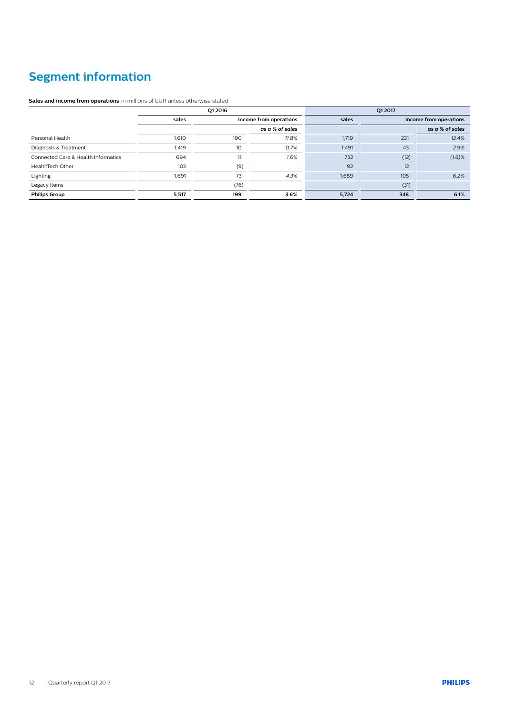# **Segment information**

**Sales and income from operations** in millions of EUR unless otherwise stated

|                                     |       | Q1 2016                |       | O1 2017 |      |                        |  |
|-------------------------------------|-------|------------------------|-------|---------|------|------------------------|--|
|                                     | sales | Income from operations |       | sales   |      | Income from operations |  |
|                                     |       | as a % of sales        |       |         |      | as a % of sales        |  |
| Personal Health                     | 1,610 | 190                    | 11.8% | 1,719   | 231  | 13.4%                  |  |
| Diagnosis & Treatment               | 1,419 | 10                     | 0.7%  | 1,491   | 43   | 2.9%                   |  |
| Connected Care & Health Informatics | 694   | 11                     | 1.6%  | 732     | (12) | $(1.6)$ %              |  |
| HealthTech Other                    | 103   | (9)                    |       | 92      | 12   |                        |  |
| Lighting                            | 1.691 | 73                     | 4.3%  | 1.689   | 105  | 6.2%                   |  |
| Legacy Items                        |       | (76)                   |       |         | (31) |                        |  |
| <b>Philips Group</b>                | 5,517 | 199                    | 3.6%  | 5,724   | 348  | 6.1%                   |  |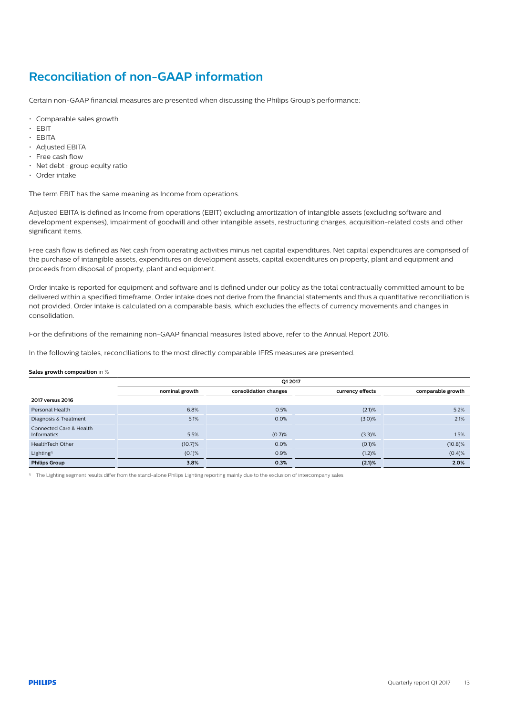## <span id="page-12-0"></span>**Reconciliation of non-GAAP information**

Certain non-GAAP financial measures are presented when discussing the Philips Group's performance:

- Comparable sales growth
- EBIT
- EBITA
- Adjusted EBITA
- Free cash flow
- Net debt : group equity ratio
- Order intake

The term EBIT has the same meaning as Income from operations.

Adjusted EBITA is defined as Income from operations (EBIT) excluding amortization of intangible assets (excluding software and development expenses), impairment of goodwill and other intangible assets, restructuring charges, acquisition-related costs and other significant items.

Free cash flow is defined as Net cash from operating activities minus net capital expenditures. Net capital expenditures are comprised of the purchase of intangible assets, expenditures on development assets, capital expenditures on property, plant and equipment and proceeds from disposal of property, plant and equipment.

Order intake is reported for equipment and software and is defined under our policy as the total contractually committed amount to be delivered within a specified timeframe. Order intake does not derive from the financial statements and thus a quantitative reconciliation is not provided. Order intake is calculated on a comparable basis, which excludes the effects of currency movements and changes in consolidation.

For the definitions of the remaining non-GAAP financial measures listed above, refer to the Annual Report 2016.

In the following tables, reconciliations to the most directly comparable IFRS measures are presented.

### **Sales growth composition** in %

|                                               | Q1 2017        |                       |                  |                   |  |  |  |
|-----------------------------------------------|----------------|-----------------------|------------------|-------------------|--|--|--|
|                                               | nominal growth | consolidation changes | currency effects | comparable growth |  |  |  |
| 2017 versus 2016                              |                |                       |                  |                   |  |  |  |
| Personal Health                               | 6.8%           | 0.5%                  | (2.1)%           | 5.2%              |  |  |  |
| Diagnosis & Treatment                         | 5.1%           | 0.0%                  | (3.0)%           | 2.1%              |  |  |  |
| Connected Care & Health<br><b>Informatics</b> | 5.5%           | (0.7)%                | (3.3)%           | 1.5%              |  |  |  |
| HealthTech Other                              | (10.7)%        | 0.0%                  | $(0.1)$ %        | $(10.8)\%$        |  |  |  |
| Lighting <sup>1)</sup>                        | $(0.1)$ %      | 0.9%                  | (1.2)%           | (0.4)%            |  |  |  |
| <b>Philips Group</b>                          | 3.8%           | 0.3%                  | (2.1)%           | 2.0%              |  |  |  |

1) The Lighting segment results differ from the stand-alone Philips Lighting reporting mainly due to the exclusion of intercompany sales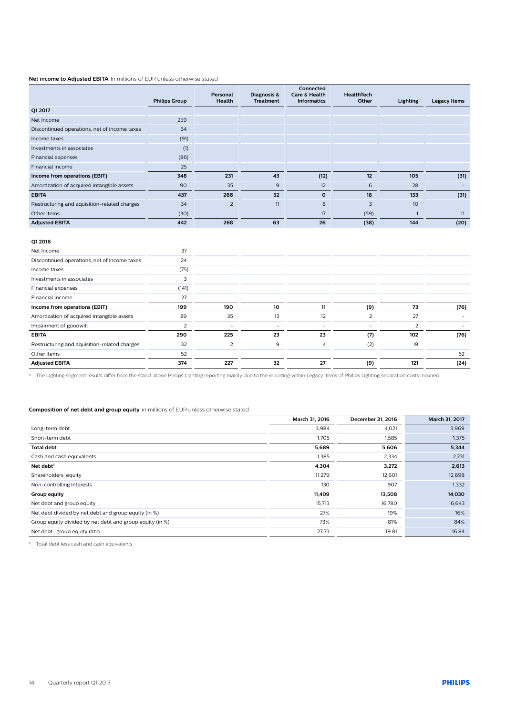### **Net income to Adjusted EBITA** In millions of EUR unless otherwise stated

|                                              | <b>Philips Group</b> | Personal<br>Health | Diagnosis &<br><b>Treatment</b> | Connected<br><b>Care &amp; Health</b><br><b>Informatics</b> | HealthTech<br>Other      | Lighting <sup>1</sup> | <b>Legacy Items</b>      |
|----------------------------------------------|----------------------|--------------------|---------------------------------|-------------------------------------------------------------|--------------------------|-----------------------|--------------------------|
| Q1 2017                                      |                      |                    |                                 |                                                             |                          |                       |                          |
| Net Income                                   | 259                  |                    |                                 |                                                             |                          |                       |                          |
| Discontinued operations, net of income taxes | 64                   |                    |                                 |                                                             |                          |                       |                          |
| Income taxes                                 | (91)                 |                    |                                 |                                                             |                          |                       |                          |
| Investments in associates                    | (1)                  |                    |                                 |                                                             |                          |                       |                          |
| Financial expenses                           | (86)                 |                    |                                 |                                                             |                          |                       |                          |
| Financial income                             | 25                   |                    |                                 |                                                             |                          |                       |                          |
| Income from operations (EBIT)                | 348                  | 231                | 43                              | (12)                                                        | 12                       | 105                   | (31)                     |
| Amortization of acquired intangible assets   | 90                   | 35                 | 9                               | 12                                                          | 6                        | 28                    | $\overline{\phantom{a}}$ |
| <b>EBITA</b>                                 | 437                  | 266                | 52                              | $\mathbf{o}$                                                | 18                       | 133                   | (31)                     |
| Restructuring and aquisition-related charges | 34                   | $\overline{2}$     | 11                              | 8                                                           | 3                        | 10                    |                          |
| Other items                                  | (30)                 |                    |                                 | 17                                                          | (59)                     | $\overline{1}$        | 11                       |
| <b>Adjusted EBITA</b>                        | 442                  | 268                | 63                              | 26                                                          | (38)                     | 144                   | (20)                     |
|                                              |                      |                    |                                 |                                                             |                          |                       |                          |
| Q1 2016                                      |                      |                    |                                 |                                                             |                          |                       |                          |
| Net Income                                   | 37                   |                    |                                 |                                                             |                          |                       |                          |
| Discontinued operations, net of income taxes | 24                   |                    |                                 |                                                             |                          |                       |                          |
| Income taxes                                 | (75)                 |                    |                                 |                                                             |                          |                       |                          |
| Investments in associates                    | 3                    |                    |                                 |                                                             |                          |                       |                          |
| Financial expenses                           | (141)                |                    |                                 |                                                             |                          |                       |                          |
| Financial income                             | 27                   |                    |                                 |                                                             |                          |                       |                          |
| Income from operations (EBIT)                | 199                  | 190                | 10                              | 11                                                          | (9)                      | 73                    | (76)                     |
| Amortization of acquired intangible assets   | 89                   | 35                 | 13                              | 12                                                          | $\overline{2}$           | 27                    |                          |
| Impairment of goodwill                       | $\overline{2}$       |                    | $\sim$                          | $\equiv$                                                    | $\overline{\phantom{a}}$ | $\overline{2}$        |                          |
| <b>EBITA</b>                                 | 290                  | 225                | 23                              | 23                                                          | (7)                      | 102                   | (76)                     |
| Restructuring and aquisition-related charges | 32                   | $\overline{2}$     | 9                               | $\overline{4}$                                              | (2)                      | 19                    |                          |
| Other Items                                  | 52                   |                    |                                 |                                                             |                          |                       | 52                       |
| <b>Adjusted EBITA</b>                        | 374                  | 227                | 32                              | 27                                                          | (9)                      | 121                   | (24)                     |

1) The Lighting segment results differ from the stand-alone Philips Lighting reporting mainly due to the reporting within Legacy Items of Philips Lighting separation costs incurred.

### **Composition of net debt and group equity** in millions of EUR unless otherwise stated

|                                                          | March 31, 2016 | December 31, 2016 | March 31, 2017 |
|----------------------------------------------------------|----------------|-------------------|----------------|
| Long-term debt                                           | 3,984          | 4,021             | 3,969          |
| Short-term debt                                          | 1,705          | 1,585             | 1,375          |
| <b>Total debt</b>                                        | 5,689          | 5,606             | 5,344          |
| Cash and cash equivalents                                | 1,385          | 2,334             | 2,731          |
| Net debt <sup>1)</sup>                                   | 4,304          | 3,272             | 2,613          |
| Shareholders' equity                                     | 11,279         | 12,601            | 12,698         |
| Non-controlling interests                                | 130            | 907               | 1,332          |
| Group equity                                             | 11,409         | 13,508            | 14,030         |
| Net debt and group equity                                | 15,713         | 16,780            | 16,643         |
| Net debt divided by net debt and group equity (in %)     | 27%            | 19%               | 16%            |
| Group equity divided by net debt and group equity (in %) | 73%            | 81%               | 84%            |
| Net debt : group equity ratio                            | 27:73          | 19:81             | 16:84          |

1) Total debt less cash and cash equivalents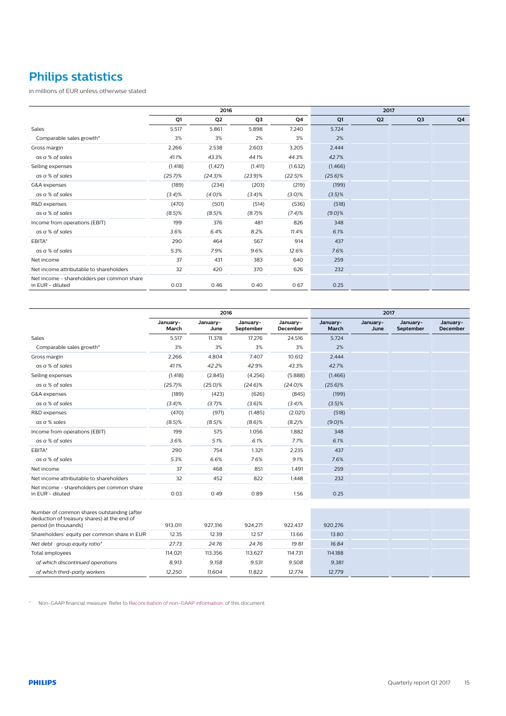# **Philips statistics**

in millions of EUR unless otherwise stated

|                                                                | 2016       |                |            |            | 2017       |                |                |    |
|----------------------------------------------------------------|------------|----------------|------------|------------|------------|----------------|----------------|----|
|                                                                | Q1         | Q <sub>2</sub> | Q3         | Q4         | Q1         | Q <sub>2</sub> | Q <sub>3</sub> | Q4 |
| Sales                                                          | 5,517      | 5,861          | 5,898      | 7,240      | 5,724      |                |                |    |
| Comparable sales growth*                                       | 3%         | 3%             | 2%         | 3%         | 2%         |                |                |    |
| Gross margin                                                   | 2,266      | 2,538          | 2,603      | 3,205      | 2,444      |                |                |    |
| as a % of sales                                                | 41.1%      | 43.3%          | 44.1%      | 44.3%      | 42.7%      |                |                |    |
| Selling expenses                                               | (1, 418)   | (1, 427)       | (1, 411)   | (1,632)    | (1,466)    |                |                |    |
| as a % of sales                                                | $(25.7)\%$ | $(24.3)\%$     | $(23.9)\%$ | $(22.5)\%$ | $(25.6)\%$ |                |                |    |
| G&A expenses                                                   | (189)      | (234)          | (203)      | (219)      | (199)      |                |                |    |
| as a % of sales                                                | (3.4)%     | (4.0)%         | (3.4)%     | $(3.0)\%$  | $(3.5)\%$  |                |                |    |
| R&D expenses                                                   | (470)      | (501)          | (514)      | (536)      | (518)      |                |                |    |
| as a % of sales                                                | (8.5)%     | $(8.5)$ %      | (8.7)%     | (7.4)%     | (9.0)%     |                |                |    |
| Income from operations (EBIT)                                  | 199        | 376            | 481        | 826        | 348        |                |                |    |
| as a % of sales                                                | 3.6%       | 6.4%           | 8.2%       | 11.4%      | 6.1%       |                |                |    |
| EBITA*                                                         | 290        | 464            | 567        | 914        | 437        |                |                |    |
| as a % of sales                                                | 5.3%       | 7.9%           | 9.6%       | 12.6%      | 7.6%       |                |                |    |
| Net income                                                     | 37         | 431            | 383        | 640        | 259        |                |                |    |
| Net income attributable to shareholders                        | 32         | 420            | 370        | 626        | 232        |                |                |    |
| Net income - shareholders per common share<br>in EUR - diluted | 0.03       | 0.46           | 0.40       | 0.67       | 0.25       |                |                |    |

|                                                                                                                    | 2016              |                  |                       |                             |                   |                  | 2017                  |                             |  |  |
|--------------------------------------------------------------------------------------------------------------------|-------------------|------------------|-----------------------|-----------------------------|-------------------|------------------|-----------------------|-----------------------------|--|--|
|                                                                                                                    | January-<br>March | January-<br>June | January-<br>September | January-<br><b>December</b> | January-<br>March | January-<br>June | January-<br>September | January-<br><b>December</b> |  |  |
| Sales                                                                                                              | 5,517             | 11,378           | 17,276                | 24,516                      | 5,724             |                  |                       |                             |  |  |
| Comparable sales growth*                                                                                           | 3%                | 3%               | 3%                    | 3%                          | 2%                |                  |                       |                             |  |  |
| Gross margin                                                                                                       | 2,266             | 4,804            | 7,407                 | 10,612                      | 2,444             |                  |                       |                             |  |  |
| as a % of sales                                                                                                    | 41.1%             | 42.2%            | 42.9%                 | 43.3%                       | 42.7%             |                  |                       |                             |  |  |
| Selling expenses                                                                                                   | (1, 418)          | (2,845)          | (4,256)               | (5,888)                     | (1,466)           |                  |                       |                             |  |  |
| as a % of sales                                                                                                    | $(25.7)\%$        | $(25.0)\%$       | $(24.6)\%$            | $(24.0)\%$                  | $(25.6)\%$        |                  |                       |                             |  |  |
| G&A expenses                                                                                                       | (189)             | (423)            | (626)                 | (845)                       | (199)             |                  |                       |                             |  |  |
| as a % of sales                                                                                                    | (3.4)%            | (3.7)%           | $(3.6)$ %             | (3.4)%                      | (3.5)%            |                  |                       |                             |  |  |
| R&D expenses                                                                                                       | (470)             | (971)            | (1,485)               | (2,021)                     | (518)             |                  |                       |                             |  |  |
| as a % sales                                                                                                       | $(8.5)$ %         | $(8.5)$ %        | $(8.6)$ %             | (8.2)%                      | (9.0)%            |                  |                       |                             |  |  |
| Income from operations (EBIT)                                                                                      | 199               | 575              | 1.056                 | 1,882                       | 348               |                  |                       |                             |  |  |
| as a % of sales                                                                                                    | 3.6%              | 5.1%             | 6.1%                  | 7.7%                        | 6.1%              |                  |                       |                             |  |  |
| EBITA*                                                                                                             | 290               | 754              | 1,321                 | 2,235                       | 437               |                  |                       |                             |  |  |
| as a % of sales                                                                                                    | 5.3%              | 6.6%             | 7.6%                  | 9.1%                        | 7.6%              |                  |                       |                             |  |  |
| Net income                                                                                                         | 37                | 468              | 851                   | 1,491                       | 259               |                  |                       |                             |  |  |
| Net income attributable to shareholders                                                                            | 32                | 452              | 822                   | 1,448                       | 232               |                  |                       |                             |  |  |
| Net income - shareholders per common share<br>in EUR - diluted                                                     | 0.03              | 0.49             | 0.89                  | 1.56                        | 0.25              |                  |                       |                             |  |  |
|                                                                                                                    |                   |                  |                       |                             |                   |                  |                       |                             |  |  |
| Number of common shares outstanding (after<br>deduction of treasury shares) at the end of<br>period (in thousands) | 913.011           | 927.316          | 924.271               | 922,437                     | 920.276           |                  |                       |                             |  |  |
| Shareholders' equity per common share in EUR                                                                       | 12.35             | 12.39            | 12.57                 | 13.66                       | 13.80             |                  |                       |                             |  |  |
| Net debt : group equity ratio*                                                                                     | 27:73             | 24:76            | 24:76                 | 19:81                       | 16:84             |                  |                       |                             |  |  |
| Total employees                                                                                                    | 114,021           | 113,356          | 113,627               | 114,731                     | 114,188           |                  |                       |                             |  |  |
| of which discontinued operations                                                                                   | 8,913             | 9,158            | 9,531                 | 9,508                       | 9.381             |                  |                       |                             |  |  |
| of which third-party workers                                                                                       | 12,250            | 11,604           | 11,822                | 12,774                      | 12,779            |                  |                       |                             |  |  |